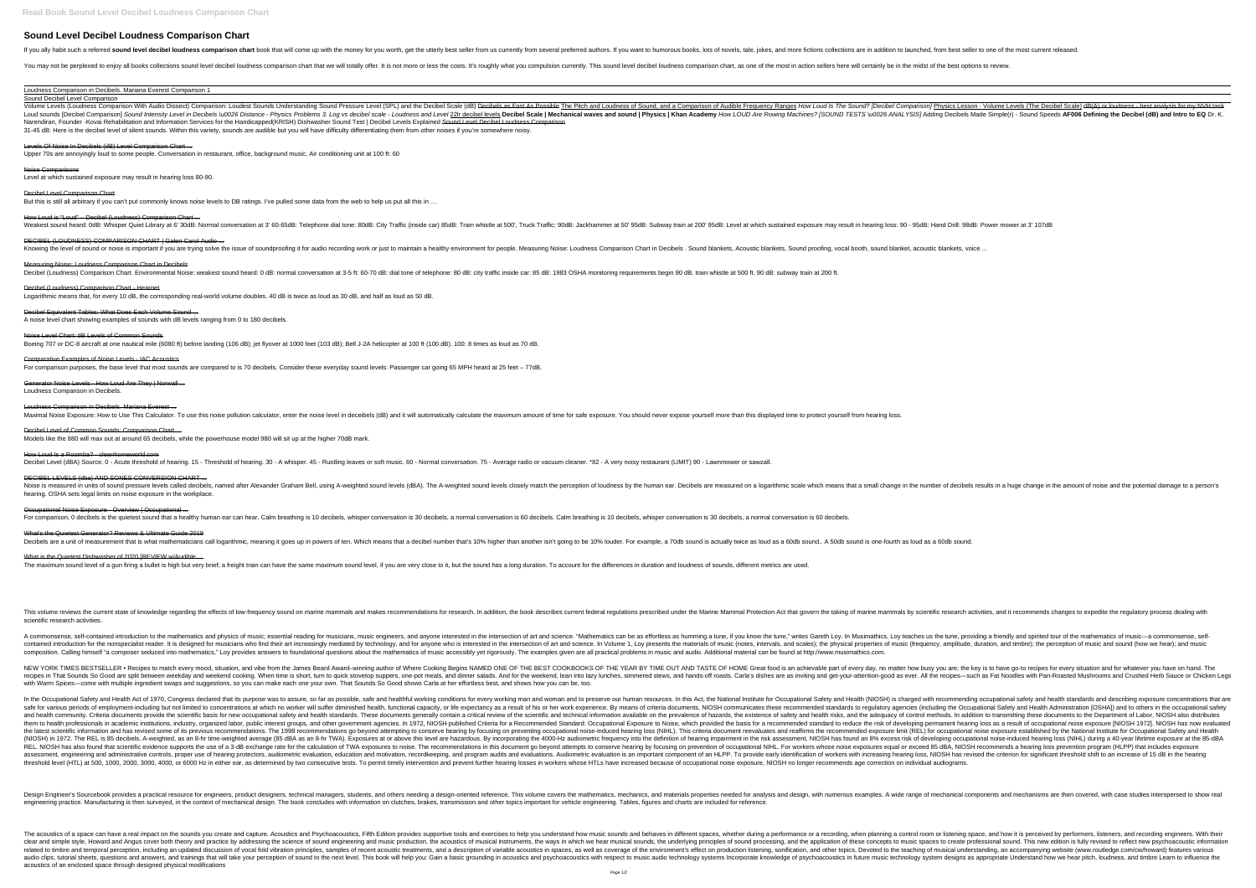## **Sound Level Decibel Loudness Comparison Chart**

If you ally habit such a referred sound level decibel loudness comparison chart book that will come up with the money for you worth, get the utterly best seller from us currently from several preferred authors. If you want

You may not be perplexed to enjoy all books collections sound level decibel loudness comparison chart that we will totally offer. It is not more or less the costs. It's roughly what you compulsion currently. This sound lev

### Loudness Comparison in Decibels. Mariana Everest Comparison 1

DECIBEL (LOUDNESS) COMPARISON CHART | Galen Carol Audio ... Knowing the level of sound or noise is important if you are trying solve the issue of soundproofing it for audio recording work or just to maintain a healthy environment for people. Measuring Noise: Loudness Comparison Cha

Sound Decibel Level Comparison Volume Levels (Loudness Comparison With Audio Dissect) Comparison: Loudest Sounds Understanding Sound Pressure Level (SPL) and the Decibel Scale (dB) Decibel Comparison of Audible Frequency Ranges How Loud Is The Sound? [D Loud sounds IDecibel Comparison] Sound Intensity Level in Decibels \u0026 Distance - Physics Problems 3. Log vs decibel scale - Loudness and Level 22Ir decibel Scale - Loudness and Level 22Ir decibel levels Decibel Scale | Narendiran, Founder -Kovai Rehabilitation and Information Services for the Handicapped(KRISH) Dishwasher Sound Test | Decibel Levels Explained Sound Level Decibel Loudness Comparison 31-45 dB: Here is the decibel level of silent sounds. Within this variety, sounds are audible but you will have difficulty differentiating them from other noises if you're somewhere noisy.

Levels Of Noise In Decibels (dB) Level Comparison Chart ...

Upper 70s are annoyingly loud to some people. Conversation in restaurant, office, background music, Air conditioning unit at 100 ft: 60

#### Noise Comparisons

Generator Noise Levels - How Loud Are They | Norwall ... Loudness Comparison in Decibels.

Level at which sustained exposure may result in hearing loss 80-90.

Decibel Level Comparison Chart

But this is still all arbitrary if you can't put commonly knows noise levels to DB ratings. I've pulled some data from the web to help us put all this in ...

How Loud Is a Roomba? - cleanhomeworld.com Decibel Level (dBA) Source. 0 - Acute threshold of hearing. 15 - Threshold of hearing. 30 - A whisper. 45 - Rustling leaves or soft music. 60 - Normal conversation. 75 - Average radio or vacuum cleaner. \*82 - A very noisy

### How Loud is "Loud" – Decibel (Loudness) Comparison Chart ...

Weakest sound heard: OdB: Whisper Quiet Library at 6' 30dB: Normal conversation at 3' 60-65dB: Telephone dial tone: 80dB: City Traffic (inside car) 85dB: Train whistle at 500', Truck Traffic: 90dB: Level at which sustained

### Measuring Noise: Loudness Comparison Chart in Decibels

Decibel (Loudness) Comparison Chart. Environmental Noise: weakest sound heard: 0 dB: normal conversation at 3-5 ft: 60-70 dB: dial tone of telephone: 80 dB: city traffic inside car: 85 dB: 1983 OSHA monitoring requirements

Decibel (Loudness) Comparison Chart - Hearnet

Boeing 707 or DC-8 aircraft at one nautical mile (6080 ft) before landing (106 dB); jet flyover at 1000 feet (103 dB); Bell J-2A helicopter at 100 ft (100 dB). 100: 8 times as loud as 70 dB.

This volume reviews the current state of knowledge regarding the effects of low-frequency sound on marine mammals and makes recommendations for research. In addition, the book describes current federal regulations for rese scientific research activities.

A commonsense, self-contained introduction to the mathematics and physics of music; essential reading for musicians, music engineers, and anyone interested in the interested in the interested in the interested in the inter contained introduction for the nonspecialist reader. It is designed for musicians who find their art increasingly mediated by technology, and for anyone who is interested in the intersection of art and science. In Volume 1 composition. Calling himself "a composer seduced into mathematics," Loy provides answers to foundational questions about the mathematics of music accessibly yet rigorously. The examples given are all practical problems in

Logarithmic means that, for every 10 dB, the corresponding real-world volume doubles. 40 dB is twice as loud as 30 dB, and half as loud as 50 dB.

Decibel Equivalent Tables: What Does Each Volume Sound ... A noise level chart showing examples of sounds with dB levels ranging from 0 to 180 decibels.

### Noise Level Chart: dB Levels of Common Sounds

### Comparative Examples of Noise Levels - IAC Acoustics

For comparison purposes, the base level that most sounds are compared to is 70 decibels. Consider these everyday sound levels: Passenger car going 65 MPH heard at 25 feet – 77dB.

Loudness Comparison in Decibels. Mariana Everest ...

Maximal Noise Exposure: How to Use This Calculator. To use this noise pollution calculator, enter the noise level in deceibels (dB) and it will automatically calculate the maximum amount of time for safe exposure. You shou

NEW YORK TIMES BESTSELLER • Recipes to match every mood, situation, and vibe from the James Beard Award–winning author of Where Cooking Begins NAMED ONE OF THE YEAR BY TIME OUT AND TASTE OF HOME Great food is an achievable recipes in That Sounds So Good are split between weekday and weekend cooking. When time is short, turn to quick stovetop suppers, one-pot meals, and hands-off roasts. Carla's dishes are as inviting and get-your-attention-g with Warm Spices—come with multiple ingredient swaps and suggestions, so you can make each one your own. That Sounds So Good shows Carla at her effortless best, and shows how you can be, too.

In the Occupational Safety and Health Act of 1970, Congress declared that its purpose was to assure, so far as possible, safe and healthful working man and to preserve our human resources. In this Act, the National Safety safe for various periods of employment-including but not limited to concentrations at which no worker will suffer diminished health, functional capacity, or life expectancy as a result of his or her work experience. By mea and health community. Criteria documents provide the scientific basis for new occupational safety and health standards. These documents generally contain a critical review of the scientific and the adequacy of control meth n academic institutions, industry, organized labor, public interest groups, and other government agencies. In 1972, NIOSH published Criteria for a Recommended standard to reduce the risk of developing permanent hearing los The 1998 recommendations and act of the 1998 recommendations go beyond attempting to conserve hearing by focusing on preventing occupational noise-induced hearing loss (NIHL). This criteria document reevaluates and reaffir (NIOSH) in 1972. The REL is 85 decibels, A-weighted, as an 8-hr time-weighted average (85 dBA as an 8-hr TWA). Exposures at or above this level are hazardous. By incorporating the 4000-Hz audiometric frequency into the def REL. NIOSH has also found that scientific evidence supports the use of a 3-dB exchange rate for the calculation of TWA exposures to noise. The recommendations in this document go beyond attempts to conserve hearing by focu assessment, engineering and administrative controls, proper use of hearing protectors, audiometric evaluation, education and motivation, education and motivation, recordkeeping, and program audits and evaluations. Audiomet threshold level (HTL) at 500, 1000, 2000, 3000, 4000, or 6000 Hz in either ear, as determined by two consecutive tests. To permit timely intervention and prevent further hearing losses in workers whose HTLs have increased

Design Engineer's Sourcebook provides a practical resource for engineers, product designers, technical managers, technical managers, students, and others needing a design-oriented reference. This volume covers the mathemat engineering practice. Manufacturing is then surveyed, in the context of mechanical design. The book concludes with information on clutches, brakes, transmission and other topics important for vehicle engineering. Tables, f

Decibel Level of Common Sounds: Comparison Chart ...

Models like the 880 will max out at around 65 decibels, while the powerhouse model 980 will sit up at the higher 70dB mark.

# DECIBEL LEVELS (dba) AND SONES CONVERSION CHART ... hearing. OSHA sets legal limits on noise exposure in the workplace.

### Occupational Noise Exposure - Overview | Occupational ...

For comparison, 0 decibels is the quietest sound that a healthy human ear can hear. Calm breathing is 10 decibels, whisper conversation is 30 decibels. Calm breathing is 10 decibels, a normal conversation is 60 decibels. C

What's the Quietest Generator? Reviews & Ultimate Guide 2019

Decibels are a unit of measurement that is what mathematicians call logarithmic, meaning it goes up in powers of ten. Which means that a decibel number that's 10% higher than another isn't going to be 10% louder. For examp What is the Quietest Dishwasher of 2020 [REVIEW w/Audible ...

The maximum sound level of a gun firing a bullet is high but very brief; a freight train can have the same maximum sound level, if you are very close to it, but the sound has a long duration. To account for the differences

The acoustics of a space can have a real impact on the sounds you create and capture. Acoustics and Psychoacoustics, Fifth Edition provides supportive tools and behaves in different spaces, when planning a control room or and simple style, Howard and Angus cover both theory and practice by addressing the science of sound engineering and music production, the acoustics of musical sounds, the underlying principles of sound. This new edition i related to timbre and temporal perception, including an updated discussion of vocal fold vibration principles, samples of recent acoustics in spaces, as well as coverage of the environment's effect on production listening, audio clips, tutorial sheets, questions and answers, and trainings that will take your perception of sound to the next level. This book will help you: Gain a basic grounding in acoustics and psychoacoustics and psychoacous acoustics of an enclosed space through designed physical modifications

Noise is measured in units of sound pressure levels called decibels, named after Alexander Graham Bell, using A-weighted sound levels (dBA). The A-weighted sound levels closely match the perception of loudness by the human